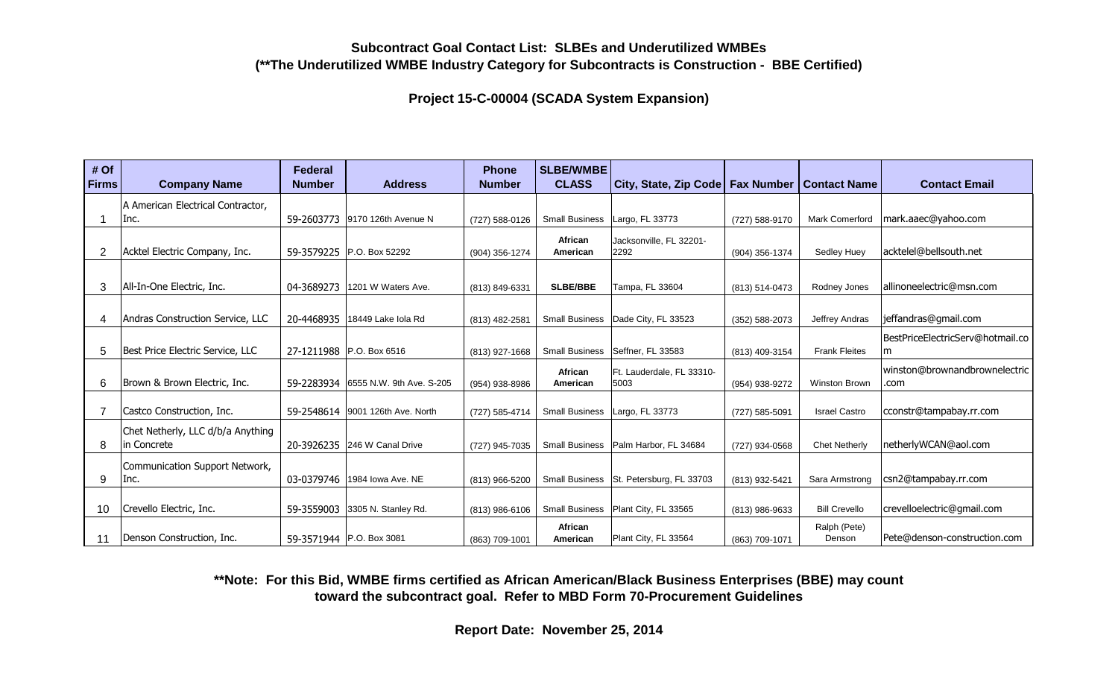**Project 15-C-00004 (SCADA System Expansion)**

| # Of<br><b>Firms</b> | <b>Company Name</b>               | <b>Federal</b><br><b>Number</b> | <b>Address</b>                      | <b>Phone</b><br><b>Number</b> | <b>SLBE/WMBE</b><br><b>CLASS</b> | City, State, Zip Code Fax Number        |                | <b>Contact Name</b>   | <b>Contact Email</b>             |
|----------------------|-----------------------------------|---------------------------------|-------------------------------------|-------------------------------|----------------------------------|-----------------------------------------|----------------|-----------------------|----------------------------------|
|                      |                                   |                                 |                                     |                               |                                  |                                         |                |                       |                                  |
|                      | A American Electrical Contractor, |                                 |                                     |                               |                                  |                                         |                |                       |                                  |
|                      | Inc.                              |                                 | 59-2603773 9170 126th Avenue N      | (727) 588-0126                | <b>Small Business</b>            | Largo, FL 33773                         | (727) 588-9170 | <b>Mark Comerford</b> | mark.aaec@yahoo.com              |
|                      |                                   |                                 |                                     |                               | African                          | Jacksonville, FL 32201-                 |                |                       | acktelel@bellsouth.net           |
| 2                    | Acktel Electric Company, Inc.     |                                 | 59-3579225 P.O. Box 52292           | (904) 356-1274                | American                         | 2292                                    | (904) 356-1374 | Sedley Huey           |                                  |
|                      |                                   |                                 |                                     |                               |                                  |                                         |                |                       |                                  |
| 3                    | All-In-One Electric, Inc.         | 04-3689273                      | 1201 W Waters Ave.                  | (813) 849-6331                | <b>SLBE/BBE</b>                  | Tampa, FL 33604                         | (813) 514-0473 | Rodney Jones          | allinoneelectric@msn.com         |
|                      |                                   |                                 |                                     |                               |                                  |                                         |                |                       |                                  |
| 4                    | Andras Construction Service, LLC  | 20-4468935                      | 18449 Lake Iola Rd                  | (813) 482-2581                |                                  | Small Business   Dade City, FL 33523    | (352) 588-2073 | Jeffrey Andras        | jeffandras@gmail.com             |
|                      |                                   |                                 |                                     |                               |                                  |                                         |                |                       | BestPriceElectricServ@hotmail.co |
| 5                    | Best Price Electric Service, LLC  |                                 | 27-1211988 P.O. Box 6516            | (813) 927-1668                |                                  | Small Business   Seffner, FL 33583      | (813) 409-3154 | <b>Frank Fleites</b>  | m                                |
|                      |                                   |                                 |                                     |                               | African                          | Ft. Lauderdale, FL 33310-               |                |                       | winston@brownandbrownelectric    |
| 6                    | Brown & Brown Electric, Inc.      |                                 | 59-2283934 6555 N.W. 9th Ave. S-205 | (954) 938-8986                | American                         | 5003                                    | (954) 938-9272 | <b>Winston Brown</b>  | .com                             |
|                      |                                   |                                 |                                     |                               |                                  |                                         |                |                       |                                  |
|                      | Castco Construction, Inc.         |                                 | 59-2548614 9001 126th Ave. North    | (727) 585-4714                | <b>Small Business</b>            | Largo, FL 33773                         | (727) 585-5091 | <b>Israel Castro</b>  | cconstr@tampabay.rr.com          |
|                      | Chet Netherly, LLC d/b/a Anything |                                 |                                     |                               |                                  |                                         |                |                       |                                  |
| 8                    | in Concrete                       |                                 | 20-3926235 246 W Canal Drive        | (727) 945-7035                |                                  | Small Business   Palm Harbor, FL 34684  | (727) 934-0568 | <b>Chet Netherly</b>  | netherlyWCAN@aol.com             |
|                      | Communication Support Network,    |                                 |                                     |                               |                                  |                                         |                |                       |                                  |
| 9                    | Inc.                              | 03-0379746                      | 1984 Iowa Ave. NE                   | (813) 966-5200                |                                  | Small Business St. Petersburg, FL 33703 | (813) 932-5421 | Sara Armstrong        | csn2@tampabay.rr.com             |
|                      |                                   |                                 |                                     |                               |                                  |                                         |                |                       |                                  |
| 10                   | Crevello Electric, Inc.           |                                 | 59-3559003 3305 N. Stanley Rd.      | $(813)$ 986-6106              | <b>Small Business</b>            | Plant City, FL 33565                    | (813) 986-9633 | <b>Bill Crevello</b>  | crevelloelectric@gmail.com       |
|                      |                                   |                                 |                                     |                               | African                          |                                         |                | Ralph (Pete)          |                                  |
| 11                   | Denson Construction, Inc.         |                                 | 59-3571944   P.O. Box 3081          | (863) 709-1001                | American                         | Plant City, FL 33564                    | (863) 709-1071 | Denson                | Pete@denson-construction.com     |

**\*\*Note: For this Bid, WMBE firms certified as African American/Black Business Enterprises (BBE) may count toward the subcontract goal. Refer to MBD Form 70-Procurement Guidelines**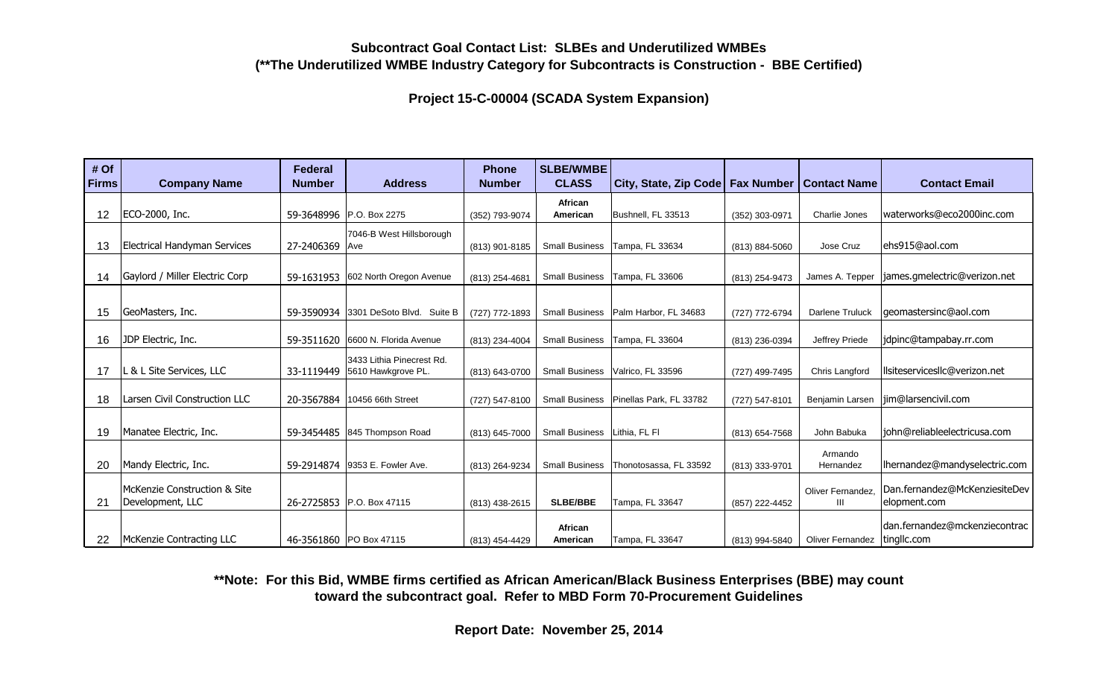**Project 15-C-00004 (SCADA System Expansion)**

| # Of<br><b>Firms</b> | <b>Company Name</b>                 | <b>Federal</b><br><b>Number</b> | <b>Address</b>                       | <b>Phone</b><br><b>Number</b> | <b>SLBE/WMBE</b><br><b>CLASS</b> | City, State, Zip Code   Fax Number |                | <b>Contact Name</b>            | <b>Contact Email</b>          |
|----------------------|-------------------------------------|---------------------------------|--------------------------------------|-------------------------------|----------------------------------|------------------------------------|----------------|--------------------------------|-------------------------------|
|                      |                                     |                                 |                                      |                               |                                  |                                    |                |                                |                               |
|                      |                                     |                                 |                                      |                               | African                          |                                    |                |                                |                               |
| 12                   | ECO-2000, Inc.                      |                                 | 59-3648996 P.O. Box 2275             | (352) 793-9074                | American                         | Bushnell, FL 33513                 | (352) 303-0971 | Charlie Jones                  | waterworks@eco2000inc.com     |
|                      |                                     |                                 | 7046-B West Hillsborough             |                               |                                  |                                    |                |                                |                               |
| 13                   | <b>Electrical Handyman Services</b> | 27-2406369 Ave                  |                                      | (813) 901-8185                | <b>Small Business</b>            | Tampa, FL 33634                    | (813) 884-5060 | Jose Cruz                      | ehs915@aol.com                |
|                      |                                     |                                 |                                      |                               |                                  |                                    |                |                                |                               |
| 14                   | Gaylord / Miller Electric Corp      |                                 | 59-1631953 602 North Oregon Avenue   | (813) 254-4681                | <b>Small Business</b>            | Tampa, FL 33606                    | (813) 254-9473 | James A. Tepper                | iames.gmelectric@verizon.net  |
|                      |                                     |                                 |                                      |                               |                                  |                                    |                |                                |                               |
|                      |                                     |                                 |                                      |                               |                                  |                                    |                |                                |                               |
| 15                   | GeoMasters, Inc.                    |                                 | 59-3590934 3301 DeSoto Blvd. Suite B | (727) 772-1893                | <b>Small Business</b>            | Palm Harbor, FL 34683              | (727) 772-6794 | <b>Darlene Truluck</b>         | geomastersinc@aol.com         |
|                      |                                     |                                 |                                      |                               |                                  |                                    |                |                                |                               |
| 16                   | JDP Electric, Inc.                  |                                 | 59-3511620 6600 N. Florida Avenue    | (813) 234-4004                | <b>Small Business</b>            | Tampa, FL 33604                    | (813) 236-0394 | Jeffrey Priede                 | idpinc@tampabay.rr.com        |
|                      |                                     |                                 | 3433 Lithia Pinecrest Rd.            |                               |                                  |                                    |                |                                |                               |
| 17                   | L & L Site Services, LLC            |                                 | 33-1119449 5610 Hawkgrove PL.        | (813) 643-0700                | <b>Small Business</b>            | Valrico, FL 33596                  | (727) 499-7495 | Chris Langford                 | llsiteservicesllc@verizon.net |
|                      |                                     |                                 |                                      |                               |                                  |                                    |                |                                |                               |
| 18                   | Larsen Civil Construction LLC       | 20-3567884                      | 10456 66th Street                    | (727) 547-8100                | <b>Small Business</b>            | Pinellas Park, FL 33782            | (727) 547-8101 | Benjamin Larsen                | jim@larsencivil.com           |
|                      |                                     |                                 |                                      |                               |                                  |                                    |                |                                |                               |
| 19                   | Manatee Electric, Inc.              |                                 | 59-3454485 845 Thompson Road         | (813) 645-7000                | <b>Small Business</b>            | Lithia, FL FI                      | (813) 654-7568 | John Babuka                    | liohn@reliableelectricusa.com |
|                      |                                     |                                 |                                      |                               |                                  |                                    |                |                                |                               |
|                      |                                     |                                 |                                      |                               |                                  |                                    |                | Armando                        |                               |
| 20                   | Mandy Electric, Inc.                |                                 | 59-2914874 9353 E. Fowler Ave.       | (813) 264-9234                | <b>Small Business</b>            | Thonotosassa, FL 33592             | (813) 333-9701 | Hernandez                      | lhernandez@mandyselectric.com |
|                      | McKenzie Construction & Site        |                                 |                                      |                               |                                  |                                    |                | Oliver Fernandez,              | Dan.fernandez@McKenziesiteDev |
| 21                   | Development, LLC                    |                                 | 26-2725853 P.O. Box 47115            | (813) 438-2615                | <b>SLBE/BBE</b>                  | Tampa, FL 33647                    | (857) 222-4452 | Ш                              | elopment.com                  |
|                      |                                     |                                 |                                      |                               |                                  |                                    |                |                                |                               |
|                      |                                     |                                 |                                      |                               | African                          |                                    |                |                                | dan.fernandez@mckenziecontrac |
| 22                   | McKenzie Contracting LLC            |                                 | 46-3561860 PO Box 47115              | (813) 454-4429                | American                         | Tampa, FL 33647                    | (813) 994-5840 | Oliver Fernandez   tingllc.com |                               |

**\*\*Note: For this Bid, WMBE firms certified as African American/Black Business Enterprises (BBE) may count toward the subcontract goal. Refer to MBD Form 70-Procurement Guidelines**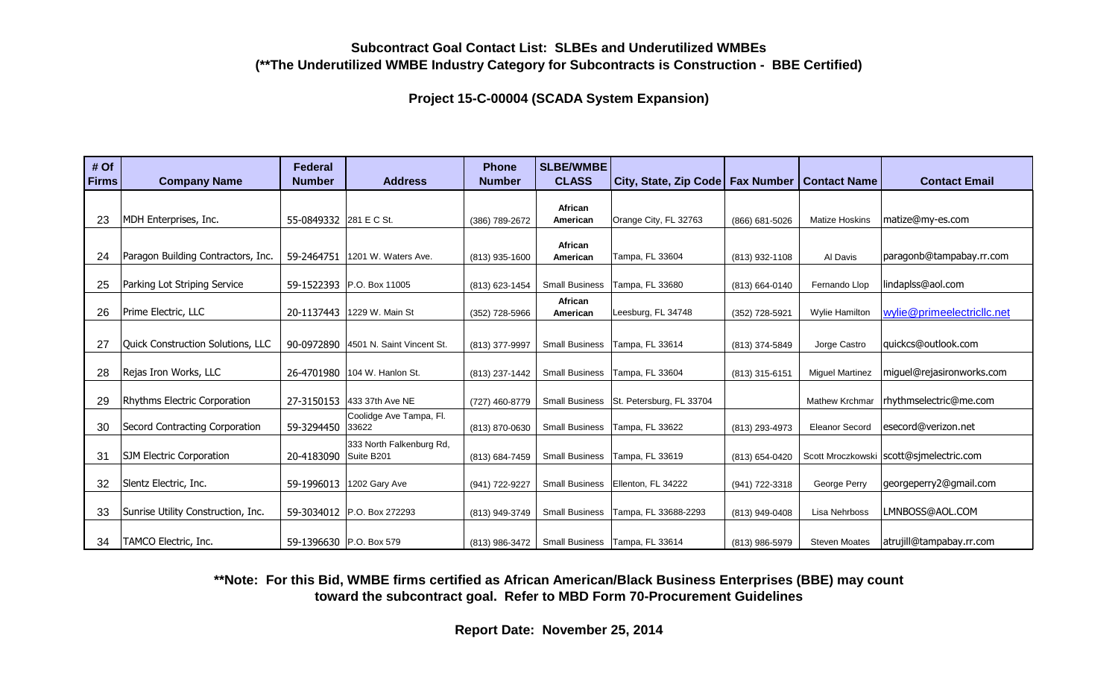**Project 15-C-00004 (SCADA System Expansion)**

| # Of<br><b>Firms</b> | <b>Company Name</b>                | <b>Federal</b><br><b>Number</b> | <b>Address</b>                       | <b>Phone</b><br><b>Number</b> | SLBE/WMBE<br><b>CLASS</b> | City, State, Zip Code   Fax Number      |                | <b>Contact Name</b>    | <b>Contact Email</b>                      |
|----------------------|------------------------------------|---------------------------------|--------------------------------------|-------------------------------|---------------------------|-----------------------------------------|----------------|------------------------|-------------------------------------------|
|                      |                                    |                                 |                                      |                               |                           |                                         |                |                        |                                           |
|                      |                                    |                                 |                                      |                               | African                   |                                         |                |                        |                                           |
| 23                   | MDH Enterprises, Inc.              | 55-0849332 281 E C St.          |                                      | (386) 789-2672                | American                  | Orange City, FL 32763                   | (866) 681-5026 | <b>Matize Hoskins</b>  | matize@my-es.com                          |
|                      |                                    |                                 |                                      |                               |                           |                                         |                |                        |                                           |
| 24                   | Paragon Building Contractors, Inc. | 59-2464751                      | 1201 W. Waters Ave.                  | (813) 935-1600                | African<br>American       | Tampa, FL 33604                         | (813) 932-1108 | Al Davis               | paragonb@tampabay.rr.com                  |
|                      |                                    |                                 |                                      |                               |                           |                                         |                |                        |                                           |
| 25                   | Parking Lot Striping Service       |                                 | 59-1522393 P.O. Box 11005            | (813) 623-1454                | <b>Small Business</b>     | Tampa, FL 33680                         | (813) 664-0140 | Fernando Llop          | lindaplss@aol.com                         |
|                      |                                    |                                 |                                      |                               | African                   |                                         |                |                        |                                           |
| 26                   | Prime Electric, LLC                | 20-1137443                      | 1229 W. Main St                      | (352) 728-5966                | American                  | Leesburg, FL 34748                      | (352) 728-5921 | Wylie Hamilton         | wylie@primeelectricllc.net                |
|                      |                                    |                                 |                                      |                               |                           |                                         |                |                        |                                           |
| 27                   | Quick Construction Solutions, LLC  |                                 | 90-0972890 4501 N. Saint Vincent St. | (813) 377-9997                | <b>Small Business</b>     | Tampa, FL 33614                         | (813) 374-5849 | Jorge Castro           | quickcs@outlook.com                       |
|                      |                                    |                                 |                                      |                               |                           |                                         |                |                        |                                           |
| 28                   | Rejas Iron Works, LLC              |                                 | 26-4701980 104 W. Hanlon St.         | (813) 237-1442                | <b>Small Business</b>     | Tampa, FL 33604                         | (813) 315-6151 | <b>Miquel Martinez</b> | miguel@rejasironworks.com                 |
|                      |                                    |                                 |                                      |                               |                           |                                         |                |                        |                                           |
| 29                   | Rhythms Electric Corporation       |                                 | 27-3150153 433 37th Ave NE           | (727) 460-8779                |                           | Small Business St. Petersburg, FL 33704 |                | <b>Mathew Krchmar</b>  | rhythmselectric@me.com                    |
| 30                   | Secord Contracting Corporation     | 59-3294450                      | Coolidge Ave Tampa, Fl.<br>33622     | (813) 870-0630                | <b>Small Business</b>     | Tampa, FL 33622                         | (813) 293-4973 | <b>Eleanor Secord</b>  | lesecord@verizon.net                      |
|                      |                                    |                                 |                                      |                               |                           |                                         |                |                        |                                           |
| 31                   | <b>SJM Electric Corporation</b>    | 20-4183090 Suite B201           | 333 North Falkenburg Rd,             | (813) 684-7459                | <b>Small Business</b>     | Tampa, FL 33619                         | (813) 654-0420 |                        | Scott Mroczkowski   scott@sjmelectric.com |
|                      |                                    |                                 |                                      |                               |                           |                                         |                |                        |                                           |
| 32                   | Slentz Electric, Inc.              | 59-1996013                      | 1202 Gary Ave                        | (941) 722-9227                | <b>Small Business</b>     | Ellenton, FL 34222                      | (941) 722-3318 | George Perry           | georgeperry2@gmail.com                    |
|                      |                                    |                                 |                                      |                               |                           |                                         |                |                        |                                           |
| 33                   | Sunrise Utility Construction, Inc. |                                 | 59-3034012 P.O. Box 272293           | (813) 949-3749                | <b>Small Business</b>     | Tampa, FL 33688-2293                    | (813) 949-0408 | Lisa Nehrboss          | LMNBOSS@AOL.COM                           |
|                      |                                    |                                 |                                      |                               |                           |                                         |                |                        |                                           |
| 34                   | TAMCO Electric, Inc.               | 59-1396630 P.O. Box 579         |                                      | (813) 986-3472                |                           | Small Business   Tampa, FL 33614        | (813) 986-5979 | <b>Steven Moates</b>   | atrujill@tampabay.rr.com                  |

**\*\*Note: For this Bid, WMBE firms certified as African American/Black Business Enterprises (BBE) may count toward the subcontract goal. Refer to MBD Form 70-Procurement Guidelines**